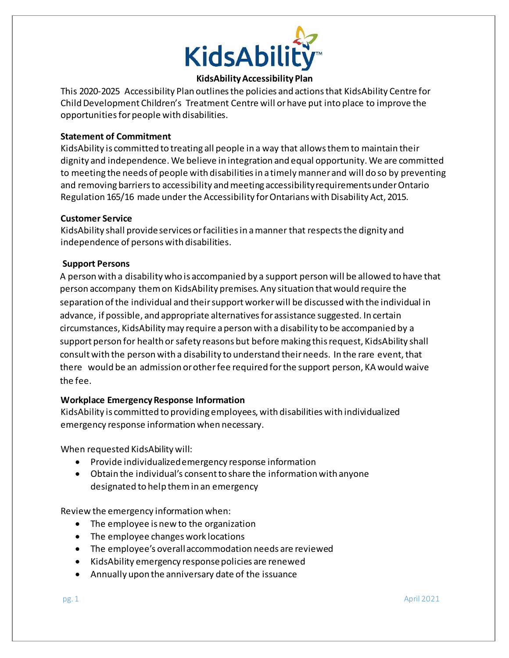

# **KidsAbilityAccessibility Plan**

This 2020-2025 Accessibility Plan outlinesthe policies and actionsthat KidsAbility Centre for Child Development Children's Treatment Centre will or have put into place to improve the opportunitiesforpeople with disabilities.

### **Statement of Commitment**

KidsAbility is committed to treating all people in a way that allowsthemto maintain their dignity and independence. We believe in integration and equal opportunity. We are committed to meeting the needs of people with disabilities in a timely manner and will do so by preventing and removing barriers to accessibility and meeting accessibility requirements under Ontario Regulation 165/16 made under the Accessibility for Ontarians with Disability Act, 2015.

### **Customer Service**

KidsAbility shall provideservices orfacilitiesin amanner that respectsthe dignity and independence of persons with disabilities.

### **Support Persons**

A person with a disability who is accompanied by a support person will be allowed to have that person accompany themon KidsAbility premises. Any situation thatwould require the separation ofthe individual and their support worker will be discussed with the individual in advance, if possible, and appropriate alternatives for assistance suggested. In certain circumstances, KidsAbilitymay require aperson with a disability to be accompanied by a support person for health or safety reasons but before making this request, KidsAbility shall consult with the person with a disability to understand their needs. In the rare event, that there would be an admission orotherfee required forthe support person, KA would waive the fee.

# **Workplace EmergencyResponse Information**

KidsAbility is committed to providing employees, with disabilities with individualized emergency response information when necessary.

When requested KidsAbility will:

- Provide individualizedemergency response information
- Obtain the individual's consent to share the information with anyone designated to help themin an emergency

Review the emergency information when:

- The employee is new to the organization
- The employee changes work locations
- The employee's overallaccommodation needs are reviewed
- KidsAbility emergency response policies are renewed
- Annually upon the anniversary date of the issuance

 $p$ g. 1 April 2021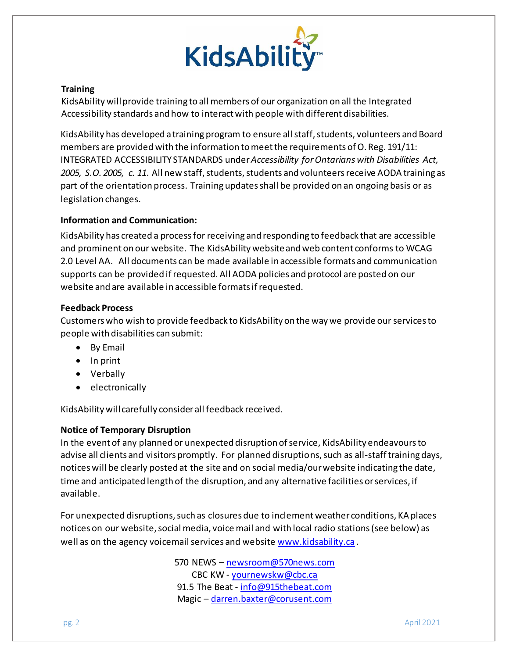

### **Training**

KidsAbility willprovide training to all members of our organization on all the Integrated Accessibility standards and how to interact with people with different disabilities.

KidsAbility has developed a training program to ensure all staff, students, volunteers and Board members are provided with the information to meet the requirements of O. Reg. 191/11: INTEGRATED ACCESSIBILITY STANDARDS under*Accessibility [forOntarians](https://www.ontario.ca/laws/statute/05a11) with Disabilities Act,* [2005,](https://www.ontario.ca/laws/statute/05a11) S.O. 2005, c. 11. All new staff, students, students and volunteers receive AODA training as part ofthe orientation process. Training updatesshall be provided on an ongoing basis or as legislation changes.

#### **Information and Communication:**

KidsAbility has created a processfor receiving and responding to feedback that are accessible and prominent on our website. The KidsAbility websiteand web content conforms to WCAG 2.0 Level AA. All documents can be made available in accessible formats and communication supports can be provided ifrequested. All AODA policies and protocol are posted on our website and are available in accessible formatsifrequested.

### **Feedback Process**

Customers who wish to provide feedback to KidsAbility on the way we provide our services to people with disabilities can submit:

- By Email
- $\bullet$  In print
- Verbally
- electronically

KidsAbility will carefully consider all feedback received.

# **Notice of Temporary Disruption**

In the event of any planned or unexpected disruption of service, KidsAbility endeavours to advise all clients and visitors promptly. For planned disruptions, such as all-staff training days, notices will be clearly posted at the site and on social media/our website indicating the date, time and anticipated length of the disruption, and any alternative facilities or services, if available.

For unexpected disruptions, such as closures due to inclement weather conditions, KA places notices on our website, social media, voice mail and with local radio stations (see below) as well as on the agency voicemail services and website [www.kidsability.ca](http://www.kidsability.ca/) .

> 570 NEWS - [newsroom@570news.com](mailto:newsroom@570news.com) CBC KW - [yournewskw@cbc.ca](mailto:yournewskw@cbc.ca) 91.5 The Beat - [info@915thebeat.com](mailto:info@915thebeat.com) Magic – [darren.baxter@corusent.com](mailto:darren.baxter@corusent.com)